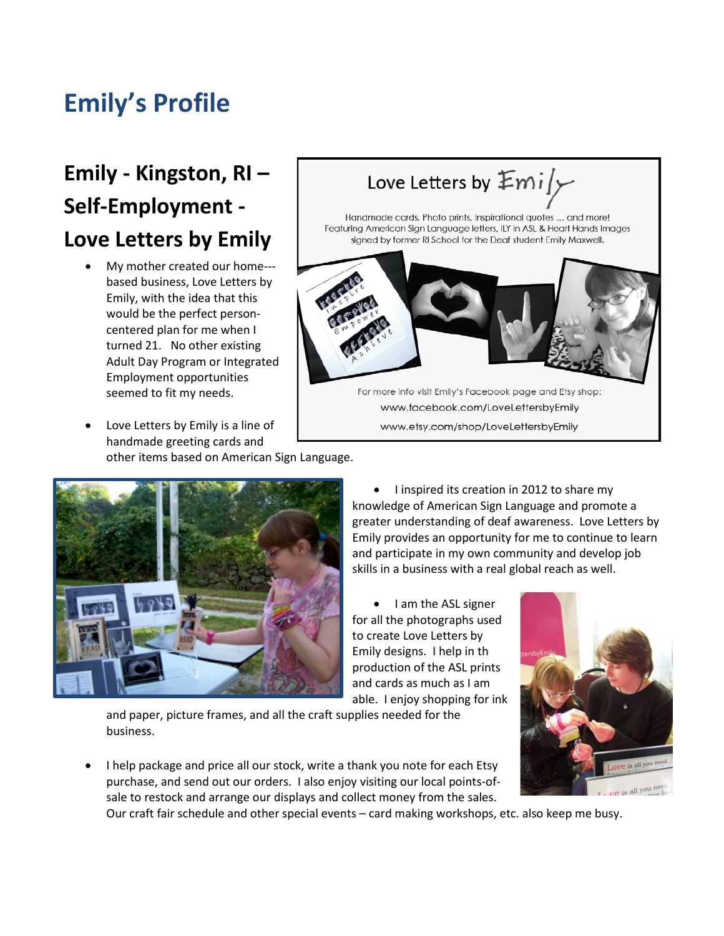## **Emily's Profile**

## **Emily - Kingston, RI – Self-Employment - Love Letters by Emily**

- My mother created our home-- based business, Love Letters by Emily, with the idea that this would be the perfect personcentered plan for me when I turned 21. No other existing Adult Day Program or Integrated Employment opportunities seemed to fit my needs.
- Love Letters by Emily is a line of handmade greeting cards and other items based on American Sign Language.





• I inspired its creation in 2012 to share my knowledge of American Sign Language and promote a greater understanding of deaf awareness. Love Letters by Emily provides an opportunity for me to continue to learn and participate in my own community and develop job skills in a business with a real global reach as well.

• I am the ASL signer for all the photographs used to create Love Letters by Emily designs. I help in th production of the ASL prints and cards as much as I am able. I enjoy shopping for ink

and paper, picture frames, and all the craft supplies needed for the business.

• I help package and price all our stock, write a thank you note for each Etsy purchase, and send out our orders. I also enjoy visiting our local points-ofsale to restock and arrange our displays and collect money from the sales.



Our craft fair schedule and other special events – card making workshops, etc. also keep me busy.